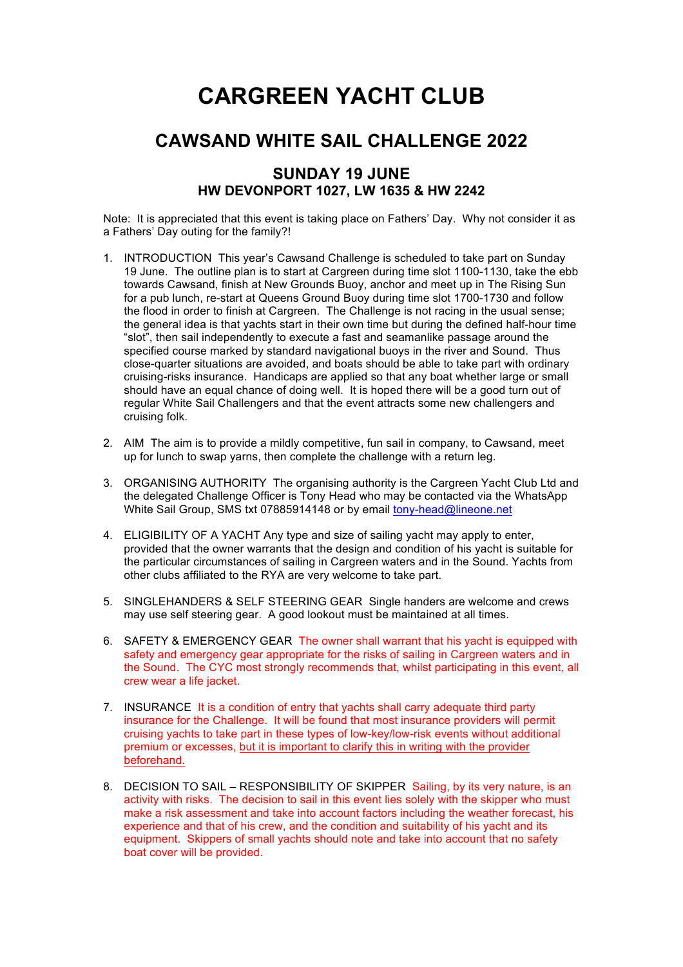## **CARGREEN YACHT CLUB**

## **CAWSAND WHITE SAIL CHALLENGE 2022**

## **SUNDAY 19 JUNE HW DEVONPORT 1027, LW 1635 & HW 2242**

Note: It is appreciated that this event is taking place on Fathers' Day. Why not consider it as a Fathers' Day outing for the family?!

- 1. INTRODUCTION This year's Cawsand Challenge is scheduled to take part on Sunday 19 June. The outline plan is to start at Cargreen during time slot 1100-1130, take the ebb towards Cawsand, finish at New Grounds Buoy, anchor and meet up in The Rising Sun for a pub lunch, re-start at Queens Ground Buoy during time slot 1700-1730 and follow the flood in order to finish at Cargreen. The Challenge is not racing in the usual sense; the general idea is that yachts start in their own time but during the defined half-hour time "slot", then sail independently to execute a fast and seamanlike passage around the specified course marked by standard navigational buoys in the river and Sound. Thus close-quarter situations are avoided, and boats should be able to take part with ordinary cruising-risks insurance. Handicaps are applied so that any boat whether large or small should have an equal chance of doing well. It is hoped there will be a good turn out of regular White Sail Challengers and that the event attracts some new challengers and cruising folk.
- 2. AIM The aim is to provide a mildly competitive, fun sail in company, to Cawsand, meet up for lunch to swap yarns, then complete the challenge with a return leg.
- 3. ORGANISING AUTHORITY The organising authority is the Cargreen Yacht Club Ltd and the delegated Challenge Officer is Tony Head who may be contacted via the WhatsApp White Sail Group, SMS txt 07885914148 or by email tony-head@lineone.net
- 4. ELIGIBILITY OF A YACHT Any type and size of sailing yacht may apply to enter, provided that the owner warrants that the design and condition of his yacht is suitable for the particular circumstances of sailing in Cargreen waters and in the Sound. Yachts from other clubs affiliated to the RYA are very welcome to take part.
- 5. SINGLEHANDERS & SELF STEERING GEAR Single handers are welcome and crews may use self steering gear. A good lookout must be maintained at all times.
- 6. SAFETY & EMERGENCY GEAR The owner shall warrant that his yacht is equipped with safety and emergency gear appropriate for the risks of sailing in Cargreen waters and in the Sound. The CYC most strongly recommends that, whilst participating in this event, all crew wear a life jacket.
- 7. INSURANCE It is a condition of entry that yachts shall carry adequate third party insurance for the Challenge. It will be found that most insurance providers will permit cruising yachts to take part in these types of low-key/low-risk events without additional premium or excesses, but it is important to clarify this in writing with the provider beforehand.
- 8. DECISION TO SAIL RESPONSIBILITY OF SKIPPER Sailing, by its very nature, is an activity with risks. The decision to sail in this event lies solely with the skipper who must make a risk assessment and take into account factors including the weather forecast, his experience and that of his crew, and the condition and suitability of his yacht and its equipment. Skippers of small yachts should note and take into account that no safety boat cover will be provided.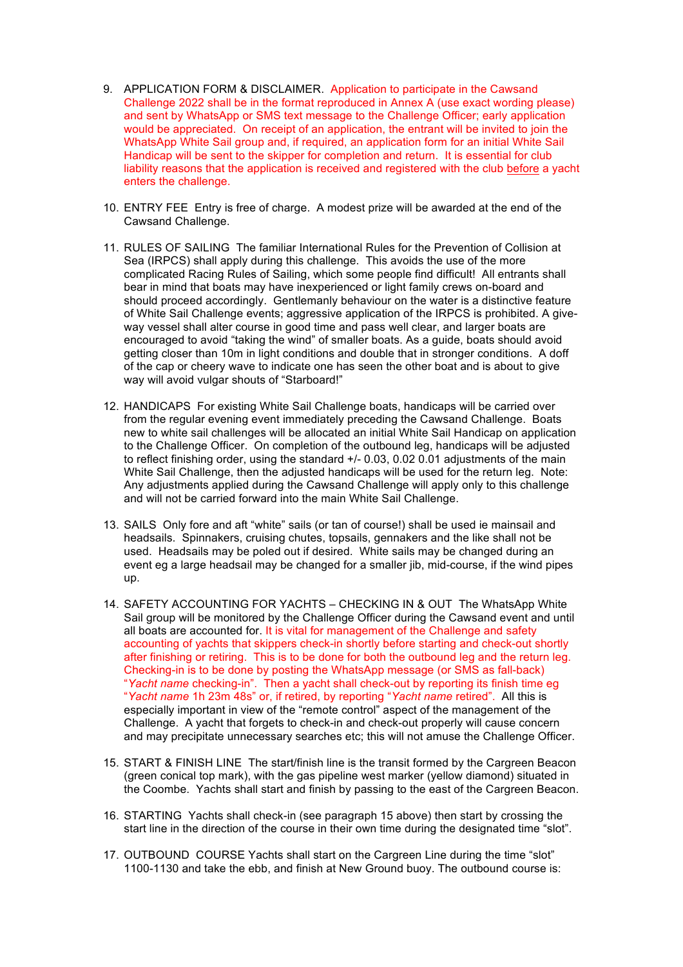- 9. APPLICATION FORM & DISCLAIMER. Application to participate in the Cawsand Challenge 2022 shall be in the format reproduced in Annex A (use exact wording please) and sent by WhatsApp or SMS text message to the Challenge Officer; early application would be appreciated. On receipt of an application, the entrant will be invited to join the WhatsApp White Sail group and, if required, an application form for an initial White Sail Handicap will be sent to the skipper for completion and return. It is essential for club liability reasons that the application is received and registered with the club before a yacht enters the challenge.
- 10. ENTRY FEE Entry is free of charge. A modest prize will be awarded at the end of the Cawsand Challenge.
- 11. RULES OF SAILING The familiar International Rules for the Prevention of Collision at Sea (IRPCS) shall apply during this challenge. This avoids the use of the more complicated Racing Rules of Sailing, which some people find difficult! All entrants shall bear in mind that boats may have inexperienced or light family crews on-board and should proceed accordingly. Gentlemanly behaviour on the water is a distinctive feature of White Sail Challenge events; aggressive application of the IRPCS is prohibited. A giveway vessel shall alter course in good time and pass well clear, and larger boats are encouraged to avoid "taking the wind" of smaller boats. As a guide, boats should avoid getting closer than 10m in light conditions and double that in stronger conditions. A doff of the cap or cheery wave to indicate one has seen the other boat and is about to give way will avoid vulgar shouts of "Starboard!"
- 12. HANDICAPS For existing White Sail Challenge boats, handicaps will be carried over from the regular evening event immediately preceding the Cawsand Challenge. Boats new to white sail challenges will be allocated an initial White Sail Handicap on application to the Challenge Officer. On completion of the outbound leg, handicaps will be adjusted to reflect finishing order, using the standard +/- 0.03, 0.02 0.01 adjustments of the main White Sail Challenge, then the adjusted handicaps will be used for the return leg. Note: Any adjustments applied during the Cawsand Challenge will apply only to this challenge and will not be carried forward into the main White Sail Challenge.
- 13. SAILS Only fore and aft "white" sails (or tan of course!) shall be used ie mainsail and headsails. Spinnakers, cruising chutes, topsails, gennakers and the like shall not be used. Headsails may be poled out if desired. White sails may be changed during an event eg a large headsail may be changed for a smaller jib, mid-course, if the wind pipes up.
- 14. SAFETY ACCOUNTING FOR YACHTS CHECKING IN & OUT The WhatsApp White Sail group will be monitored by the Challenge Officer during the Cawsand event and until all boats are accounted for. It is vital for management of the Challenge and safety accounting of yachts that skippers check-in shortly before starting and check-out shortly after finishing or retiring. This is to be done for both the outbound leg and the return leg. Checking-in is to be done by posting the WhatsApp message (or SMS as fall-back) "*Yacht name* checking-in". Then a yacht shall check-out by reporting its finish time eg "*Yacht name* 1h 23m 48s" or, if retired, by reporting "*Yacht name* retired". All this is especially important in view of the "remote control" aspect of the management of the Challenge. A yacht that forgets to check-in and check-out properly will cause concern and may precipitate unnecessary searches etc; this will not amuse the Challenge Officer.
- 15. START & FINISH LINE The start/finish line is the transit formed by the Cargreen Beacon (green conical top mark), with the gas pipeline west marker (yellow diamond) situated in the Coombe. Yachts shall start and finish by passing to the east of the Cargreen Beacon.
- 16. STARTING Yachts shall check-in (see paragraph 15 above) then start by crossing the start line in the direction of the course in their own time during the designated time "slot".
- 17. OUTBOUND COURSE Yachts shall start on the Cargreen Line during the time "slot" 1100-1130 and take the ebb, and finish at New Ground buoy. The outbound course is: